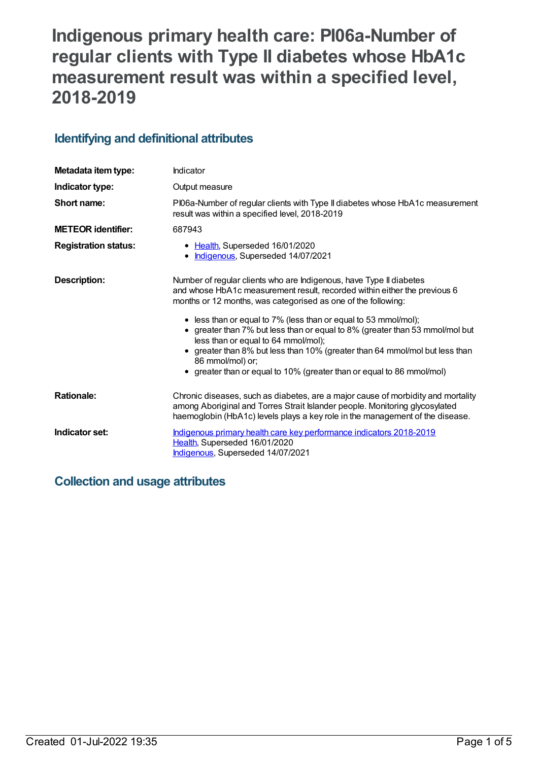# **Indigenous primary health care: PI06a-Number of regular clients with Type II diabetes whose HbA1c measurement result was within a specified level, 2018-2019**

## **Identifying and definitional attributes**

| Metadata item type:         | Indicator                                                                                                                                                                                                                                                                                                                                                                                                                                                                                                                                                                             |  |
|-----------------------------|---------------------------------------------------------------------------------------------------------------------------------------------------------------------------------------------------------------------------------------------------------------------------------------------------------------------------------------------------------------------------------------------------------------------------------------------------------------------------------------------------------------------------------------------------------------------------------------|--|
| Indicator type:             | Output measure                                                                                                                                                                                                                                                                                                                                                                                                                                                                                                                                                                        |  |
| Short name:                 | PI06a-Number of regular clients with Type II diabetes whose HbA1c measurement<br>result was within a specified level, 2018-2019                                                                                                                                                                                                                                                                                                                                                                                                                                                       |  |
| <b>METEOR</b> identifier:   | 687943                                                                                                                                                                                                                                                                                                                                                                                                                                                                                                                                                                                |  |
| <b>Registration status:</b> | • Health, Superseded 16/01/2020<br>Indigenous, Superseded 14/07/2021<br>$\bullet$                                                                                                                                                                                                                                                                                                                                                                                                                                                                                                     |  |
| Description:                | Number of regular clients who are Indigenous, have Type II diabetes<br>and whose HbA1c measurement result, recorded within either the previous 6<br>months or 12 months, was categorised as one of the following:<br>• less than or equal to 7% (less than or equal to 53 mmol/mol);<br>• greater than 7% but less than or equal to 8% (greater than 53 mmol/mol but<br>less than or equal to 64 mmol/mol);<br>greater than 8% but less than 10% (greater than 64 mmol/mol but less than<br>86 mmol/mol) or;<br>• greater than or equal to 10% (greater than or equal to 86 mmol/mol) |  |
| <b>Rationale:</b>           | Chronic diseases, such as diabetes, are a major cause of morbidity and mortality<br>among Aboriginal and Torres Strait Islander people. Monitoring glycosylated<br>haemoglobin (HbA1c) levels plays a key role in the management of the disease.                                                                                                                                                                                                                                                                                                                                      |  |
| Indicator set:              | Indigenous primary health care key performance indicators 2018-2019<br>Health, Superseded 16/01/2020<br>Indigenous, Superseded 14/07/2021                                                                                                                                                                                                                                                                                                                                                                                                                                             |  |

## **Collection and usage attributes**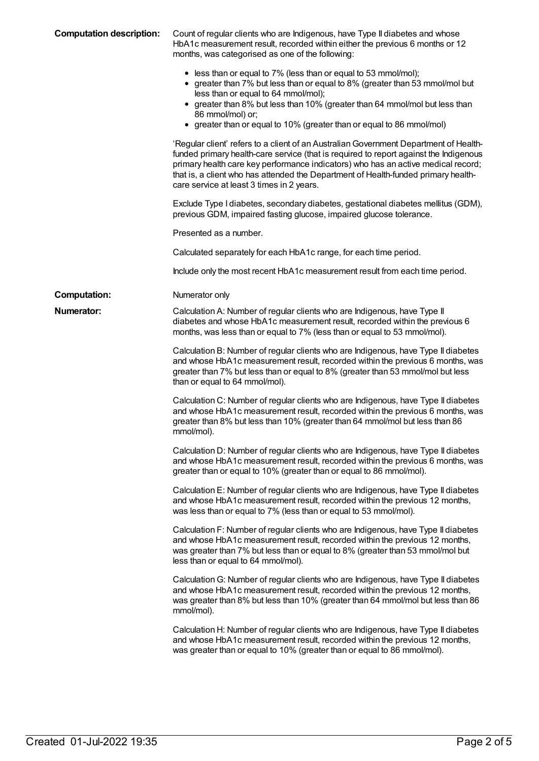| <b>Computation description:</b> | Count of regular clients who are Indigenous, have Type II diabetes and whose<br>HbA1c measurement result, recorded within either the previous 6 months or 12<br>months, was categorised as one of the following:                                                                                                                                                                                       |
|---------------------------------|--------------------------------------------------------------------------------------------------------------------------------------------------------------------------------------------------------------------------------------------------------------------------------------------------------------------------------------------------------------------------------------------------------|
|                                 | • less than or equal to 7% (less than or equal to 53 mmol/mol);<br>• greater than 7% but less than or equal to 8% (greater than 53 mmol/mol but<br>less than or equal to 64 mmol/mol);<br>• greater than 8% but less than 10% (greater than 64 mmol/mol but less than<br>86 mmol/mol) or;<br>• greater than or equal to 10% (greater than or equal to 86 mmol/mol)                                     |
|                                 | 'Regular client' refers to a client of an Australian Government Department of Health-<br>funded primary health-care service (that is required to report against the Indigenous<br>primary health care key performance indicators) who has an active medical record;<br>that is, a client who has attended the Department of Health-funded primary health-<br>care service at least 3 times in 2 years. |
|                                 | Exclude Type I diabetes, secondary diabetes, gestational diabetes mellitus (GDM),<br>previous GDM, impaired fasting glucose, impaired glucose tolerance.                                                                                                                                                                                                                                               |
|                                 | Presented as a number.                                                                                                                                                                                                                                                                                                                                                                                 |
|                                 | Calculated separately for each HbA1c range, for each time period.                                                                                                                                                                                                                                                                                                                                      |
|                                 | Include only the most recent HbA1c measurement result from each time period.                                                                                                                                                                                                                                                                                                                           |
| <b>Computation:</b>             | Numerator only                                                                                                                                                                                                                                                                                                                                                                                         |
| <b>Numerator:</b>               | Calculation A: Number of regular clients who are Indigenous, have Type II<br>diabetes and whose HbA1c measurement result, recorded within the previous 6<br>months, was less than or equal to 7% (less than or equal to 53 mmol/mol).                                                                                                                                                                  |
|                                 | Calculation B: Number of regular clients who are Indigenous, have Type II diabetes<br>and whose HbA1c measurement result, recorded within the previous 6 months, was<br>greater than 7% but less than or equal to 8% (greater than 53 mmol/mol but less<br>than or equal to 64 mmol/mol).                                                                                                              |
|                                 | Calculation C: Number of regular clients who are Indigenous, have Type II diabetes<br>and whose HbA1c measurement result, recorded within the previous 6 months, was<br>greater than 8% but less than 10% (greater than 64 mmol/mol but less than 86<br>mmol/mol).                                                                                                                                     |
|                                 | Calculation D: Number of regular clients who are Indigenous, have Type II diabetes<br>and whose HbA1c measurement result, recorded within the previous 6 months, was<br>greater than or equal to 10% (greater than or equal to 86 mmol/mol).                                                                                                                                                           |
|                                 | Calculation E: Number of regular clients who are Indigenous, have Type II diabetes<br>and whose HbA1c measurement result, recorded within the previous 12 months,<br>was less than or equal to 7% (less than or equal to 53 mmol/mol).                                                                                                                                                                 |
|                                 | Calculation F: Number of regular clients who are Indigenous, have Type II diabetes<br>and whose HbA1c measurement result, recorded within the previous 12 months,<br>was greater than 7% but less than or equal to 8% (greater than 53 mmol/mol but<br>less than or equal to 64 mmol/mol).                                                                                                             |
|                                 | Calculation G: Number of regular clients who are Indigenous, have Type II diabetes<br>and whose HbA1c measurement result, recorded within the previous 12 months,<br>was greater than 8% but less than 10% (greater than 64 mmol/mol but less than 86<br>mmol/mol).                                                                                                                                    |
|                                 | Calculation H: Number of regular clients who are Indigenous, have Type II diabetes<br>and whose HbA1c measurement result, recorded within the previous 12 months,<br>was greater than or equal to 10% (greater than or equal to 86 mmol/mol).                                                                                                                                                          |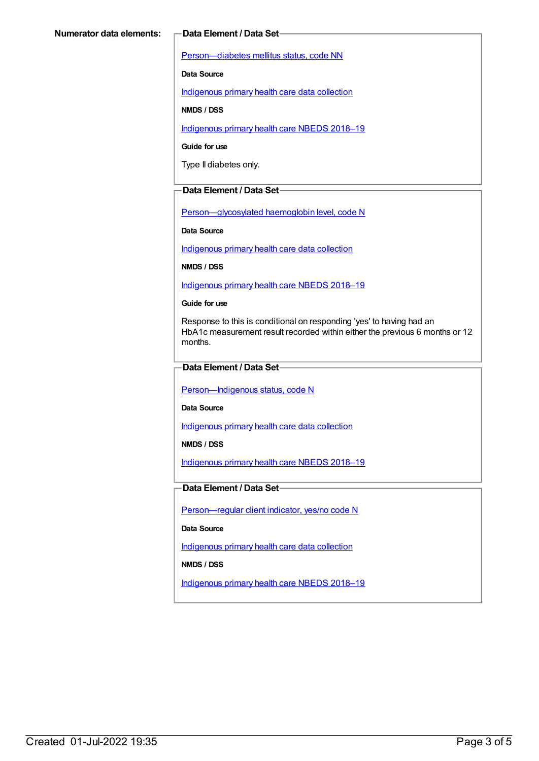[Person—diabetes](https://meteor.aihw.gov.au/content/270194) mellitus status, code NN

**Data Source**

[Indigenous](https://meteor.aihw.gov.au/content/430643) primary health care data collection

**NMDS / DSS**

[Indigenous](https://meteor.aihw.gov.au/content/694101) primary health care NBEDS 2018–19

**Guide for use**

Type II diabetes only.

#### **Data Element / Data Set**

[Person—glycosylated](https://meteor.aihw.gov.au/content/589601) haemoglobin level, code N

**Data Source**

[Indigenous](https://meteor.aihw.gov.au/content/430643) primary health care data collection

**NMDS / DSS**

[Indigenous](https://meteor.aihw.gov.au/content/694101) primary health care NBEDS 2018–19

**Guide for use**

Response to this is conditional on responding 'yes' to having had an HbA1c measurement result recorded within either the previous 6 months or 12 months.

#### **Data Element / Data Set**

Person-Indigenous status, code N

**Data Source**

[Indigenous](https://meteor.aihw.gov.au/content/430643) primary health care data collection

**NMDS / DSS**

[Indigenous](https://meteor.aihw.gov.au/content/694101) primary health care NBEDS 2018-19

#### **Data Element / Data Set**

[Person—regular](https://meteor.aihw.gov.au/content/686291) client indicator, yes/no code N

**Data Source**

[Indigenous](https://meteor.aihw.gov.au/content/430643) primary health care data collection

**NMDS / DSS**

[Indigenous](https://meteor.aihw.gov.au/content/694101) primary health care NBEDS 2018–19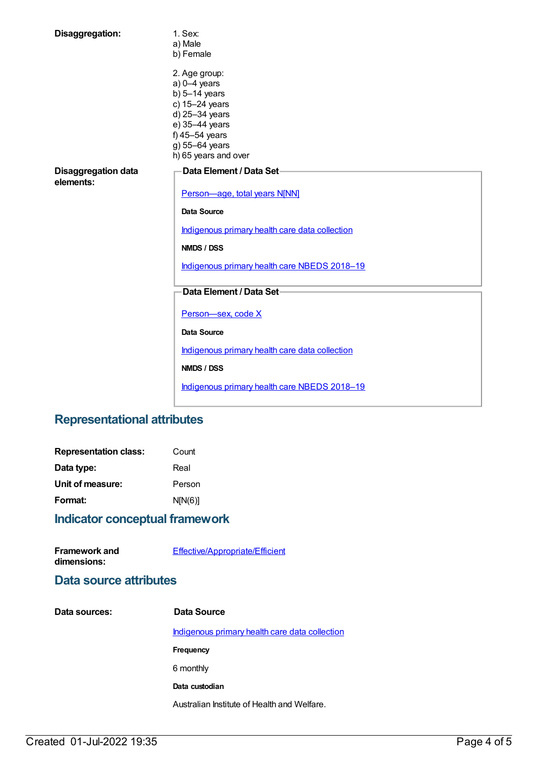| Disaggregation:                         | 1. Sex:<br>a) Male<br>b) Female                                                                                                                                      |
|-----------------------------------------|----------------------------------------------------------------------------------------------------------------------------------------------------------------------|
|                                         | 2. Age group:<br>$a) 0-4$ years<br>$b)$ 5-14 years<br>c) 15-24 years<br>d) 25-34 years<br>e) 35-44 years<br>f) 45-54 years<br>g) 55-64 years<br>h) 65 years and over |
| <b>Disaggregation data</b><br>elements: | Data Element / Data Set-<br>Person-age, total years N[NN]                                                                                                            |
|                                         | <b>Data Source</b>                                                                                                                                                   |
|                                         |                                                                                                                                                                      |
|                                         | Indigenous primary health care data collection                                                                                                                       |
|                                         | <b>NMDS / DSS</b>                                                                                                                                                    |
|                                         | Indigenous primary health care NBEDS 2018-19                                                                                                                         |
|                                         | Data Element / Data Set-                                                                                                                                             |
|                                         | Person-sex, code X                                                                                                                                                   |
|                                         | <b>Data Source</b>                                                                                                                                                   |
|                                         | Indigenous primary health care data collection                                                                                                                       |
|                                         | <b>NMDS / DSS</b>                                                                                                                                                    |
|                                         | Indigenous primary health care NBEDS 2018-19                                                                                                                         |

## **Representational attributes**

| <b>Representation class:</b> | Count   |
|------------------------------|---------|
| Data type:                   | Real    |
| Unit of measure:             | Person  |
| Format:                      | N[N(6)] |
|                              |         |

## **Indicator conceptual framework**

| Framework and | Effective/Appropriate/Efficient |
|---------------|---------------------------------|
| dimensions:   |                                 |

## **Data source attributes**

| Data sources: | Data Source                                    |
|---------------|------------------------------------------------|
|               | Indigenous primary health care data collection |
|               | Frequency                                      |
|               | 6 monthly                                      |
|               | Data custodian                                 |
|               | Australian Institute of Health and Welfare.    |